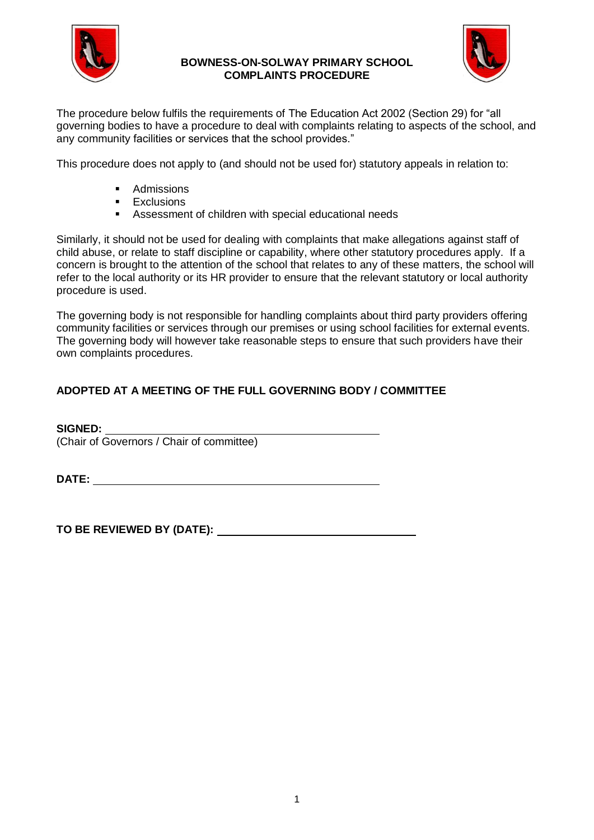

#### **BOWNESS-ON-SOLWAY PRIMARY SCHOOL COMPLAINTS PROCEDURE**



The procedure below fulfils the requirements of The Education Act 2002 (Section 29) for "all governing bodies to have a procedure to deal with complaints relating to aspects of the school, and any community facilities or services that the school provides."

This procedure does not apply to (and should not be used for) statutory appeals in relation to:

- **Admissions**
- **Exclusions**
- Assessment of children with special educational needs

Similarly, it should not be used for dealing with complaints that make allegations against staff of child abuse, or relate to staff discipline or capability, where other statutory procedures apply. If a concern is brought to the attention of the school that relates to any of these matters, the school will refer to the local authority or its HR provider to ensure that the relevant statutory or local authority procedure is used.

The governing body is not responsible for handling complaints about third party providers offering community facilities or services through our premises or using school facilities for external events. The governing body will however take reasonable steps to ensure that such providers have their own complaints procedures.

# **ADOPTED AT A MEETING OF THE FULL GOVERNING BODY / COMMITTEE**

**SIGNED:**  (Chair of Governors / Chair of committee)

**DATE:** 

**TO BE REVIEWED BY (DATE):**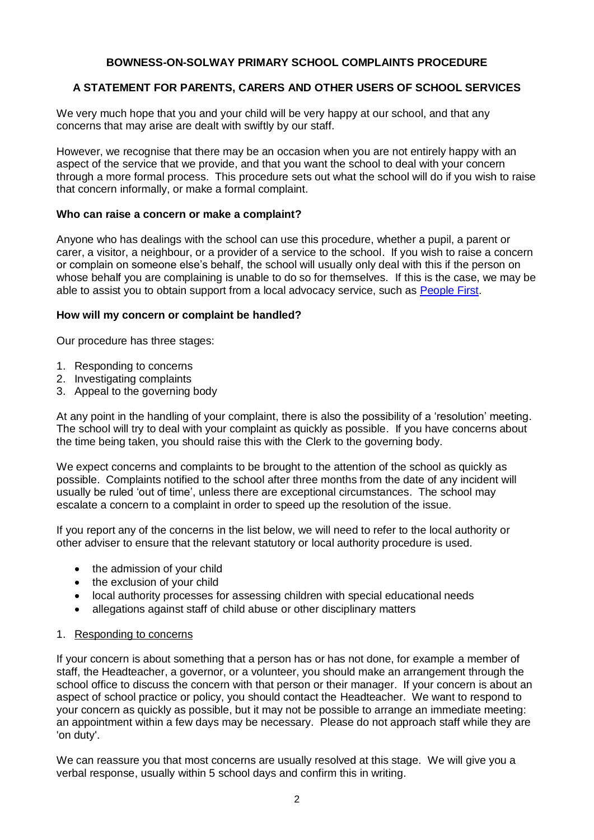### **BOWNESS-ON-SOLWAY PRIMARY SCHOOL COMPLAINTS PROCEDURE**

## **A STATEMENT FOR PARENTS, CARERS AND OTHER USERS OF SCHOOL SERVICES**

We very much hope that you and your child will be very happy at our school, and that any concerns that may arise are dealt with swiftly by our staff.

However, we recognise that there may be an occasion when you are not entirely happy with an aspect of the service that we provide, and that you want the school to deal with your concern through a more formal process. This procedure sets out what the school will do if you wish to raise that concern informally, or make a formal complaint.

#### **Who can raise a concern or make a complaint?**

Anyone who has dealings with the school can use this procedure, whether a pupil, a parent or carer, a visitor, a neighbour, or a provider of a service to the school. If you wish to raise a concern or complain on someone else's behalf, the school will usually only deal with this if the person on whose behalf you are complaining is unable to do so for themselves. If this is the case, we may be able to assist you to obtain support from a local advocacy service, such as [People First.](http://www.peoplefirstcumbria.org.uk/)

#### **How will my concern or complaint be handled?**

Our procedure has three stages:

- 1. Responding to concerns
- 2. Investigating complaints
- 3. Appeal to the governing body

At any point in the handling of your complaint, there is also the possibility of a 'resolution' meeting. The school will try to deal with your complaint as quickly as possible. If you have concerns about the time being taken, you should raise this with the Clerk to the governing body.

We expect concerns and complaints to be brought to the attention of the school as quickly as possible. Complaints notified to the school after three months from the date of any incident will usually be ruled 'out of time', unless there are exceptional circumstances. The school may escalate a concern to a complaint in order to speed up the resolution of the issue.

If you report any of the concerns in the list below, we will need to refer to the local authority or other adviser to ensure that the relevant statutory or local authority procedure is used.

- the admission of your child
- the exclusion of your child
- local authority processes for assessing children with special educational needs
- allegations against staff of child abuse or other disciplinary matters

### 1. Responding to concerns

If your concern is about something that a person has or has not done, for example a member of staff, the Headteacher, a governor, or a volunteer, you should make an arrangement through the school office to discuss the concern with that person or their manager. If your concern is about an aspect of school practice or policy, you should contact the Headteacher. We want to respond to your concern as quickly as possible, but it may not be possible to arrange an immediate meeting: an appointment within a few days may be necessary. Please do not approach staff while they are 'on duty'.

We can reassure you that most concerns are usually resolved at this stage. We will give you a verbal response, usually within 5 school days and confirm this in writing.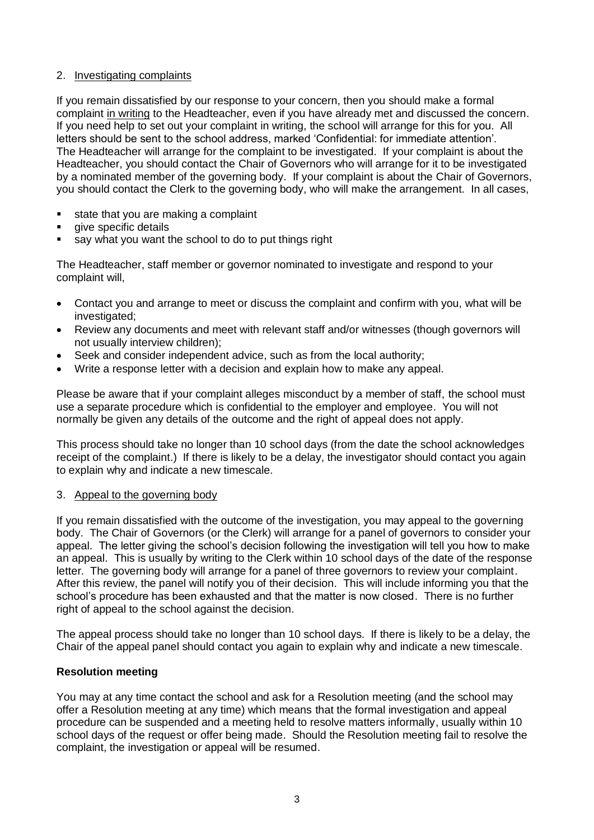### 2. Investigating complaints

If you remain dissatisfied by our response to your concern, then you should make a formal complaint in writing to the Headteacher, even if you have already met and discussed the concern. If you need help to set out your complaint in writing, the school will arrange for this for you. All letters should be sent to the school address, marked 'Confidential: for immediate attention'. The Headteacher will arrange for the complaint to be investigated. If your complaint is about the Headteacher, you should contact the Chair of Governors who will arrange for it to be investigated by a nominated member of the governing body. If your complaint is about the Chair of Governors, you should contact the Clerk to the governing body, who will make the arrangement. In all cases,

- state that you are making a complaint
- give specific details
- say what you want the school to do to put things right

The Headteacher, staff member or governor nominated to investigate and respond to your complaint will,

- Contact you and arrange to meet or discuss the complaint and confirm with you, what will be investigated;
- Review any documents and meet with relevant staff and/or witnesses (though governors will not usually interview children);
- Seek and consider independent advice, such as from the local authority;
- Write a response letter with a decision and explain how to make any appeal.

Please be aware that if your complaint alleges misconduct by a member of staff, the school must use a separate procedure which is confidential to the employer and employee. You will not normally be given any details of the outcome and the right of appeal does not apply.

This process should take no longer than 10 school days (from the date the school acknowledges receipt of the complaint.) If there is likely to be a delay, the investigator should contact you again to explain why and indicate a new timescale.

### 3. Appeal to the governing body

If you remain dissatisfied with the outcome of the investigation, you may appeal to the governing body. The Chair of Governors (or the Clerk) will arrange for a panel of governors to consider your appeal. The letter giving the school's decision following the investigation will tell you how to make an appeal. This is usually by writing to the Clerk within 10 school days of the date of the response letter. The governing body will arrange for a panel of three governors to review your complaint. After this review, the panel will notify you of their decision. This will include informing you that the school's procedure has been exhausted and that the matter is now closed. There is no further right of appeal to the school against the decision.

The appeal process should take no longer than 10 school days. If there is likely to be a delay, the Chair of the appeal panel should contact you again to explain why and indicate a new timescale.

### **Resolution meeting**

You may at any time contact the school and ask for a Resolution meeting (and the school may offer a Resolution meeting at any time) which means that the formal investigation and appeal procedure can be suspended and a meeting held to resolve matters informally, usually within 10 school days of the request or offer being made. Should the Resolution meeting fail to resolve the complaint, the investigation or appeal will be resumed.